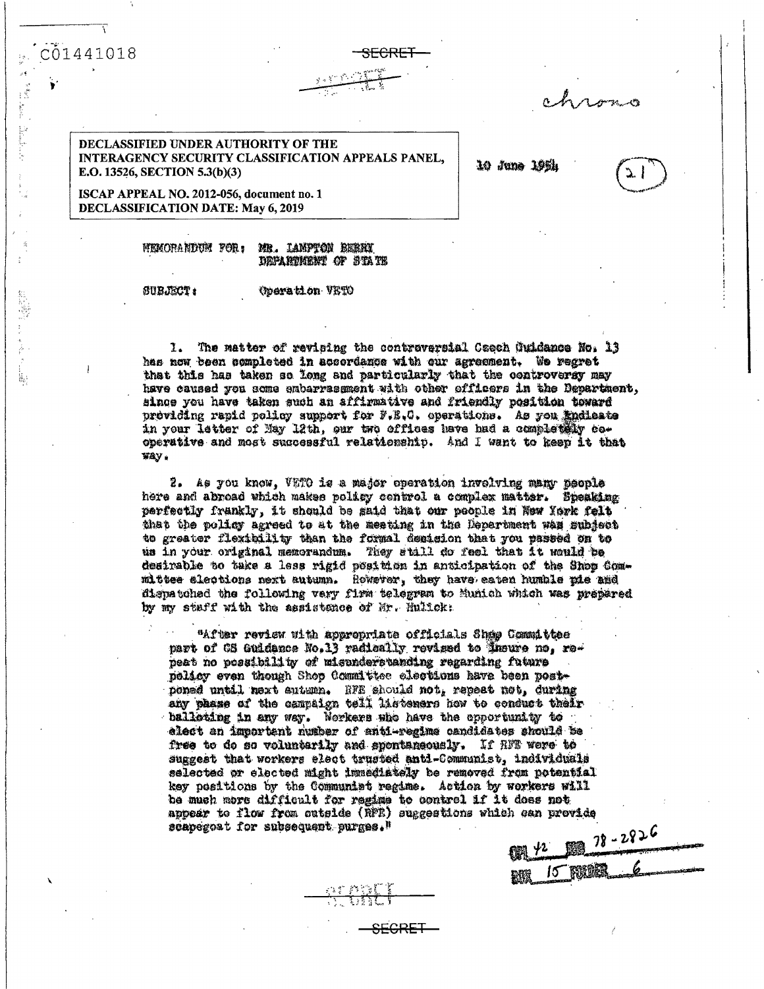C01441018

**Address** 

The President President

į,

DECLASSIFIED UNDER AUTHORITY OF THE INTERAGENCY SECURITY CLASSIFICATION APPEALS PANEL, E.O. 13526, SECTION 5.3(b)(3)

10 June 199h

ISCAP APPEAL NO. 2012-056, document no. 1 **DECLASSIFICATION DATE: May 6, 2019** 

> MEMORANDUM FOR: MR. LAMPTON BERRY DEPARTMENT OF STATE

**SUBJECT:** 

## **Operation VETO**

The matter of revising the contraversial Caech Guidance No. 13  $\mathbf{1}$ has now been completed in accordance with our agreement. We regret that this has taken so long and particularly that the controversy may have caused you some embarrassment with other officers in the Department, since you have taken such an affirmative and friendly position toward providing rapid policy support for F.E.C. operations. As you indicate in your letter of May 12th, our two offices have had a completely cooperative and most successful relationship. And I want to keep it that way.

S<del>FCRET</del>

2. As you know, VETO is a major operation involving many people here and abroad which makes policy control a complex matter. Speaking perfectly frankly, it should be gaid that our people in New York felt that the policy agreed to at the meating in the Department was subject to greater flexibility than the formal desision that you passed on to us in your original memorandum. They stall do feel that it would be desirable to take a less rigid position in anticipation of the Shop Committee aleotions next autumn. However, they have eaten humble pie and dispatched the following very firm telegram to Munich which was prepared by my staff with the assistance of Mr. Hullck:

"After review with appropriate officials Shap Committee part of CS Guidance No.13 radically revised to insure no, repeat no possibility of misunderstanding regarding future nelisy even though Shop Committee elections have been postponed until next eutumn. HFE should not, repeat not, during any phase of the campaign toll listeners how to conduct their balloting in any way. Norkers who have the opportunity to elect an important number of anti-regime candidates should be free to do so voluntarily and spontaneously. If HMT were to suggest that workers elect trusted anti-Communist, individuals selected or elected might immediately be removed from potential key positions by the Communist regime. Action by workers will he much more difficult for regime to control if it does not appear to flow from cutside (RFE) suggestions which can provide scapegoat for subsequent purges."

|                        |  | $91 + 122$ |
|------------------------|--|------------|
| <b>2018 15 1800 PM</b> |  |            |



<del>SECRET</del>